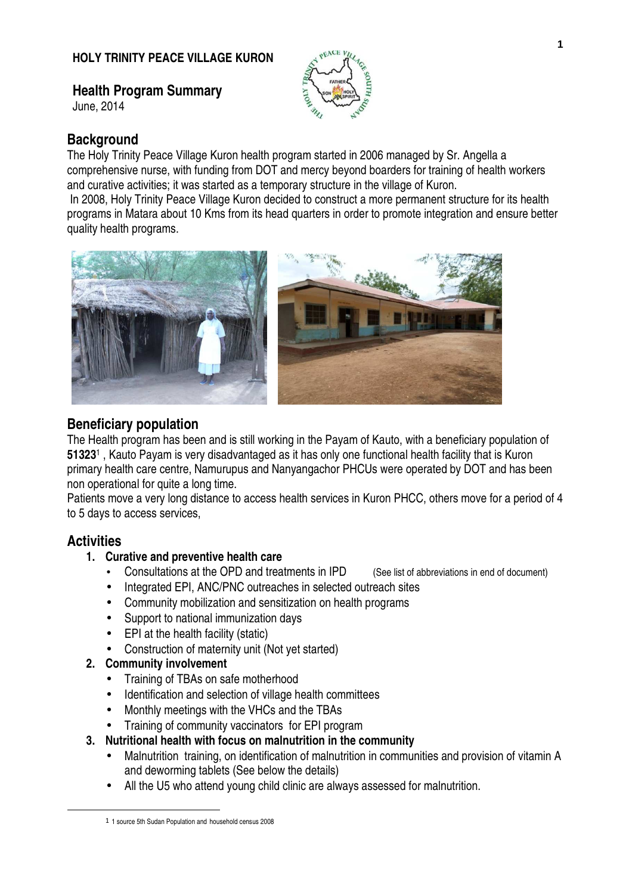#### **HOLY TRINITY PEACE VILLAGE KURON**

**Health Program Summary** 

June, 2014



## **Background**

The Holy Trinity Peace Village Kuron health program started in 2006 managed by Sr. Angella a comprehensive nurse, with funding from DOT and mercy beyond boarders for training of health workers and curative activities; it was started as a temporary structure in the village of Kuron.

 In 2008, Holy Trinity Peace Village Kuron decided to construct a more permanent structure for its health programs in Matara about 10 Kms from its head quarters in order to promote integration and ensure better quality health programs.



## **Beneficiary population**

The Health program has been and is still working in the Payam of Kauto, with a beneficiary population of **51323**<sup>1</sup> , Kauto Payam is very disadvantaged as it has only one functional health facility that is Kuron primary health care centre, Namurupus and Nanyangachor PHCUs were operated by DOT and has been non operational for quite a long time.

Patients move a very long distance to access health services in Kuron PHCC, others move for a period of 4 to 5 days to access services,

## **Activities**

 $\overline{a}$ 

- **1. Curative and preventive health care** 
	- Consultations at the OPD and treatments in IPD (See list of abbreviations in end of document)
	- Integrated EPI, ANC/PNC outreaches in selected outreach sites
	- Community mobilization and sensitization on health programs
	- Support to national immunization days
	- EPI at the health facility (static)
		- Construction of maternity unit (Not yet started)
- **2. Community involvement** 
	- Training of TBAs on safe motherhood
	- Identification and selection of village health committees
	- Monthly meetings with the VHCs and the TBAs
	- Training of community vaccinators for EPI program
- **3. Nutritional health with focus on malnutrition in the community** 
	- Malnutrition training, on identification of malnutrition in communities and provision of vitamin A and deworming tablets (See below the details)
	- All the U5 who attend young child clinic are always assessed for malnutrition.

<sup>1</sup> 1 source 5th Sudan Population and household census 2008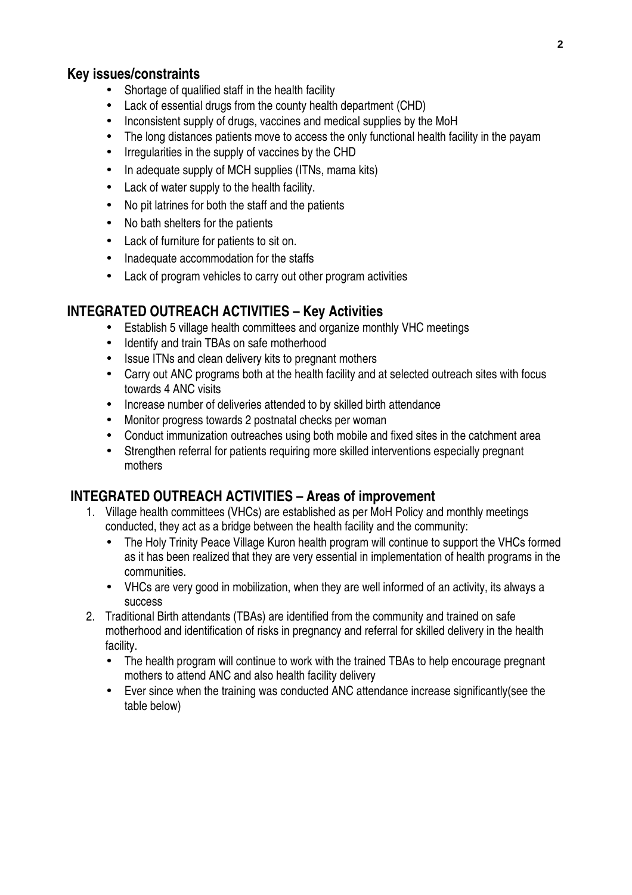#### **Key issues/constraints**

- Shortage of qualified staff in the health facility
- Lack of essential drugs from the county health department (CHD)
- Inconsistent supply of drugs, vaccines and medical supplies by the MoH
- The long distances patients move to access the only functional health facility in the payam
- Irregularities in the supply of vaccines by the CHD
- In adequate supply of MCH supplies (ITNs, mama kits)
- Lack of water supply to the health facility.
- No pit latrines for both the staff and the patients
- No bath shelters for the patients
- Lack of furniture for patients to sit on.
- Inadequate accommodation for the staffs
- Lack of program vehicles to carry out other program activities

## **INTEGRATED OUTREACH ACTIVITIES – Key Activities**

- Establish 5 village health committees and organize monthly VHC meetings
- Identify and train TBAs on safe motherhood
- Issue ITNs and clean delivery kits to pregnant mothers
- Carry out ANC programs both at the health facility and at selected outreach sites with focus towards 4 ANC visits
- Increase number of deliveries attended to by skilled birth attendance
- Monitor progress towards 2 postnatal checks per woman
- Conduct immunization outreaches using both mobile and fixed sites in the catchment area
- Strengthen referral for patients requiring more skilled interventions especially pregnant mothers

## **INTEGRATED OUTREACH ACTIVITIES – Areas of improvement**

- 1. Village health committees (VHCs) are established as per MoH Policy and monthly meetings conducted, they act as a bridge between the health facility and the community:
	- The Holy Trinity Peace Village Kuron health program will continue to support the VHCs formed as it has been realized that they are very essential in implementation of health programs in the communities.
	- VHCs are very good in mobilization, when they are well informed of an activity, its always a success
- 2. Traditional Birth attendants (TBAs) are identified from the community and trained on safe motherhood and identification of risks in pregnancy and referral for skilled delivery in the health facility.
	- The health program will continue to work with the trained TBAs to help encourage pregnant mothers to attend ANC and also health facility delivery
	- Ever since when the training was conducted ANC attendance increase significantly(see the table below)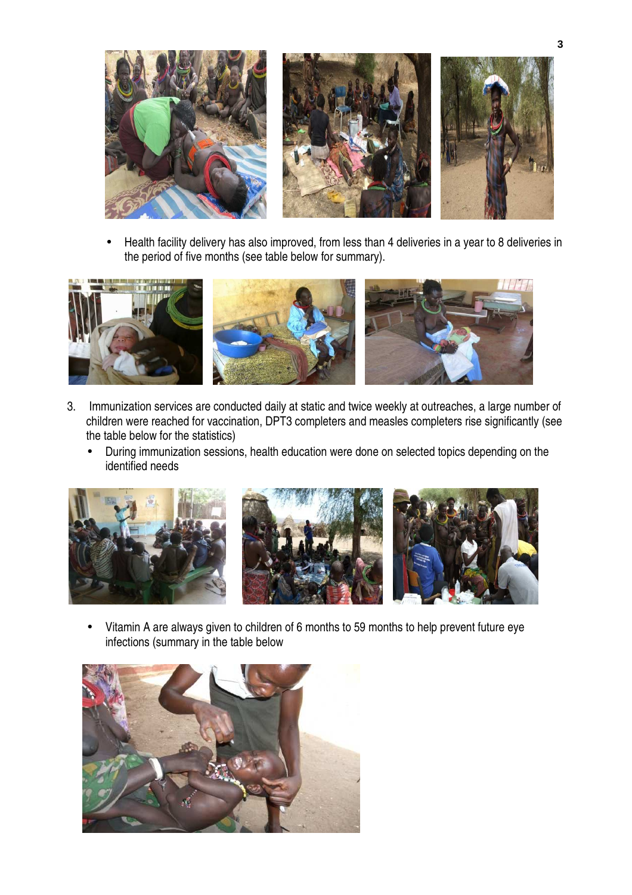

• Health facility delivery has also improved, from less than 4 deliveries in a year to 8 deliveries in the period of five months (see table below for summary).



- 3. Immunization services are conducted daily at static and twice weekly at outreaches, a large number of children were reached for vaccination, DPT3 completers and measles completers rise significantly (see the table below for the statistics)
	- During immunization sessions, health education were done on selected topics depending on the identified needs







• Vitamin A are always given to children of 6 months to 59 months to help prevent future eye infections (summary in the table below

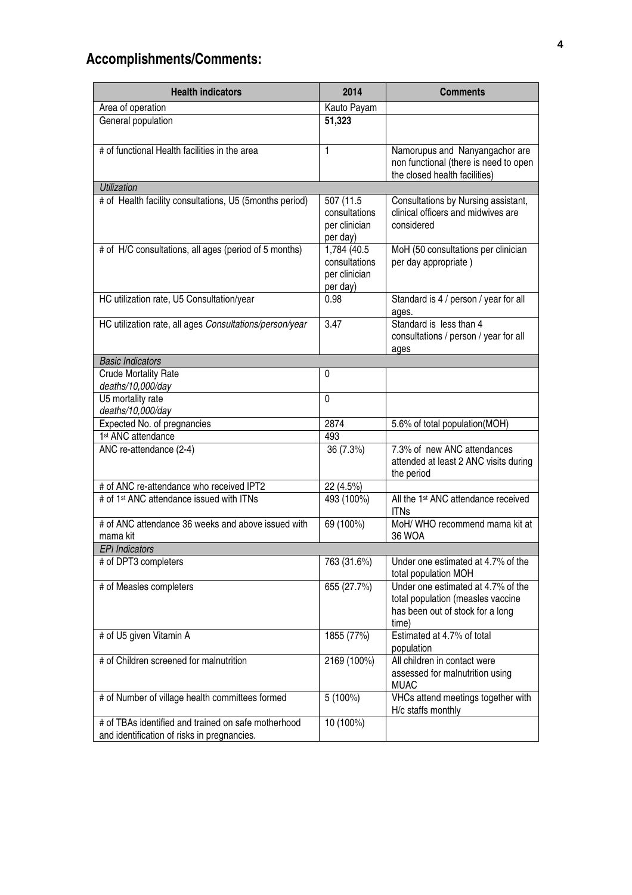# **Accomplishments/Comments:**

| <b>Health indicators</b>                                | 2014             | <b>Comments</b>                                                      |
|---------------------------------------------------------|------------------|----------------------------------------------------------------------|
| Area of operation                                       | Kauto Payam      |                                                                      |
| General population                                      | 51,323           |                                                                      |
|                                                         |                  |                                                                      |
| # of functional Health facilities in the area           | 1                | Namorupus and Nanyangachor are                                       |
|                                                         |                  | non functional (there is need to open                                |
| <b>Utilization</b>                                      |                  | the closed health facilities)                                        |
| # of Health facility consultations, U5 (5months period) | 507 (11.5        | Consultations by Nursing assistant,                                  |
|                                                         | consultations    | clinical officers and midwives are                                   |
|                                                         | per clinician    | considered                                                           |
|                                                         | per day)         |                                                                      |
| # of H/C consultations, all ages (period of 5 months)   | 1,784 (40.5      | MoH (50 consultations per clinician                                  |
|                                                         | consultations    | per day appropriate)                                                 |
|                                                         | per clinician    |                                                                      |
| HC utilization rate, U5 Consultation/year               | per day)<br>0.98 | Standard is 4 / person / year for all                                |
|                                                         |                  | ages.                                                                |
| HC utilization rate, all ages Consultations/person/year | 3.47             | Standard is less than 4                                              |
|                                                         |                  | consultations / person / year for all                                |
|                                                         |                  | ages                                                                 |
| <b>Basic Indicators</b>                                 | $\mathbf{0}$     |                                                                      |
| <b>Crude Mortality Rate</b><br>deaths/10,000/day        |                  |                                                                      |
| U5 mortality rate                                       | 0                |                                                                      |
| deaths/10,000/day                                       |                  |                                                                      |
| Expected No. of pregnancies                             | 2874             | 5.6% of total population(MOH)                                        |
| 1 <sup>st</sup> ANC attendance                          | 493              |                                                                      |
| ANC re-attendance (2-4)                                 | 36 (7.3%)        | 7.3% of new ANC attendances<br>attended at least 2 ANC visits during |
|                                                         |                  | the period                                                           |
| # of ANC re-attendance who received IPT2                | 22 (4.5%)        |                                                                      |
| # of 1 <sup>st</sup> ANC attendance issued with ITNs    | 493 (100%)       | All the 1 <sup>st</sup> ANC attendance received                      |
|                                                         |                  | <b>ITNs</b>                                                          |
| # of ANC attendance 36 weeks and above issued with      | 69 (100%)        | MoH/ WHO recommend mama kit at                                       |
| mama kit<br><b>EPI</b> Indicators                       |                  | 36 WOA                                                               |
| # of DPT3 completers                                    | 763 (31.6%)      | Under one estimated at 4.7% of the                                   |
|                                                         |                  | total population MOH                                                 |
| # of Measles completers                                 | 655 (27.7%)      | Under one estimated at 4.7% of the                                   |
|                                                         |                  | total population (measles vaccine                                    |
|                                                         |                  | has been out of stock for a long                                     |
|                                                         | 1855 (77%)       | time)<br>Estimated at 4.7% of total                                  |
| # of U5 given Vitamin A                                 |                  | population                                                           |
| # of Children screened for malnutrition                 | 2169 (100%)      | All children in contact were                                         |
|                                                         |                  | assessed for malnutrition using                                      |
|                                                         |                  | <b>MUAC</b>                                                          |
| # of Number of village health committees formed         | $5(100\%)$       | VHCs attend meetings together with                                   |
| # of TBAs identified and trained on safe motherhood     | $10(100\%)$      | H/c staffs monthly                                                   |
| and identification of risks in pregnancies.             |                  |                                                                      |